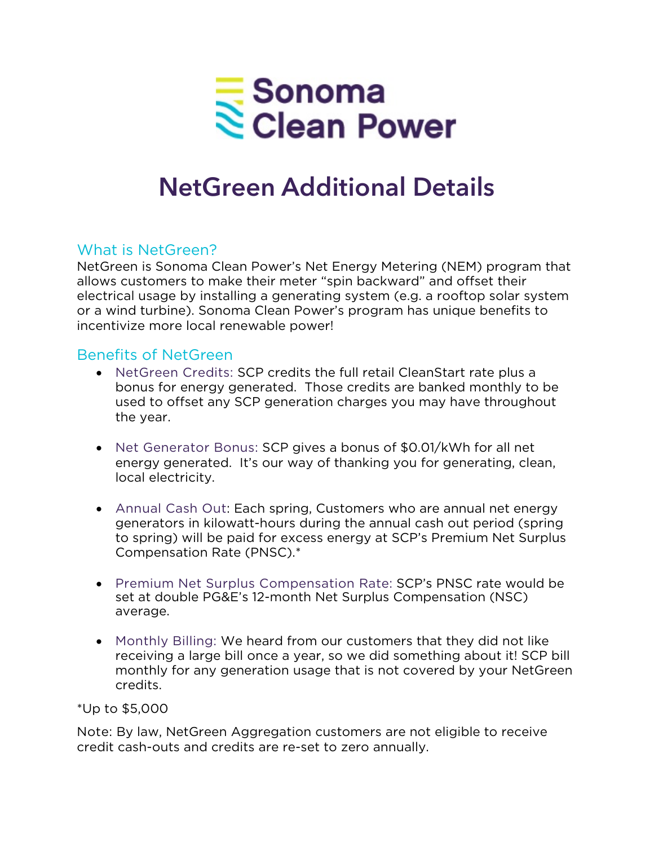

# **NetGreen Additional Details**

#### What is NetGreen?

NetGreen is Sonoma Clean Power's Net Energy Metering (NEM) program that allows customers to make their meter "spin backward" and offset their electrical usage by installing a generating system (e.g. a rooftop solar system or a wind turbine). Sonoma Clean Power's program has unique benefits to incentivize more local renewable power!

#### Benefits of NetGreen

- NetGreen Credits: SCP credits the full retail CleanStart rate plus a bonus for energy generated. Those credits are banked monthly to be used to offset any SCP generation charges you may have throughout the year.
- Net Generator Bonus: SCP gives a bonus of \$0.01/kWh for all net energy generated. It's our way of thanking you for generating, clean, local electricity.
- Annual Cash Out: Each spring, Customers who are annual net energy generators in kilowatt-hours during the annual cash out period (spring to spring) will be paid for excess energy at SCP's Premium Net Surplus Compensation Rate (PNSC).\*
- Premium Net Surplus Compensation Rate: SCP's PNSC rate would be set at double PG&E's 12-month Net Surplus Compensation (NSC) average.
- Monthly Billing: We heard from our customers that they did not like receiving a large bill once a year, so we did something about it! SCP bill monthly for any generation usage that is not covered by your NetGreen credits.

#### \*Up to \$5,000

Note: By law, NetGreen Aggregation customers are not eligible to receive credit cash-outs and credits are re-set to zero annually.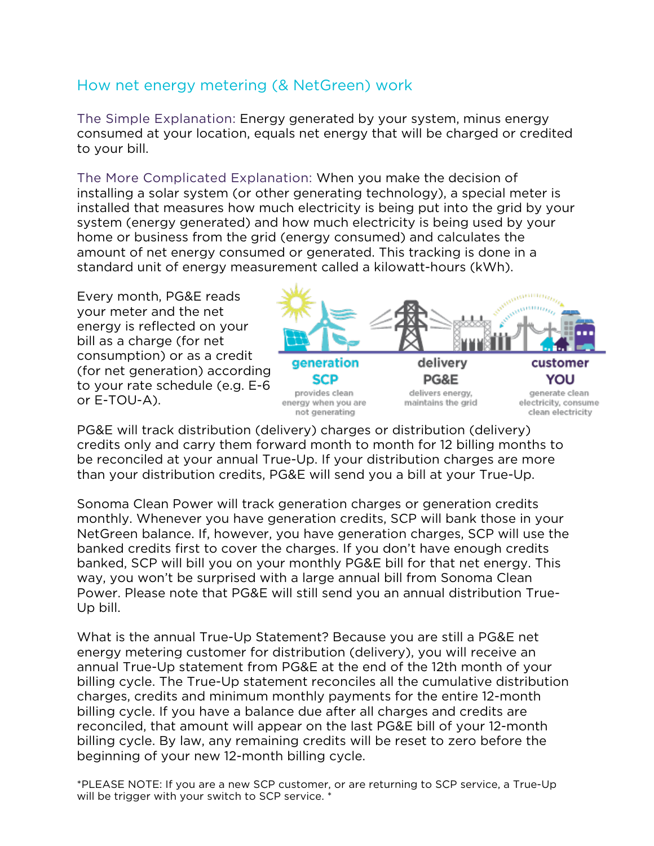## How net energy metering (& NetGreen) work

The Simple Explanation: Energy generated by your system, minus energy consumed at your location, equals net energy that will be charged or credited to your bill.

The More Complicated Explanation: When you make the decision of installing a solar system (or other generating technology), a special meter is installed that measures how much electricity is being put into the grid by your system (energy generated) and how much electricity is being used by your home or business from the grid (energy consumed) and calculates the amount of net energy consumed or generated. This tracking is done in a standard unit of energy measurement called a kilowatt-hours (kWh).

Every month, PG&E reads your meter and the net energy is reflected on your bill as a charge (for net consumption) or as a credit (for net generation) according to your rate schedule (e.g. E-6 or E-TOU-A).



PG&E will track distribution (delivery) charges or distribution (delivery) credits only and carry them forward month to month for 12 billing months to be reconciled at your annual True-Up. If your distribution charges are more than your distribution credits, PG&E will send you a bill at your True-Up.

Sonoma Clean Power will track generation charges or generation credits monthly. Whenever you have generation credits, SCP will bank those in your NetGreen balance. If, however, you have generation charges, SCP will use the banked credits first to cover the charges. If you don't have enough credits banked, SCP will bill you on your monthly PG&E bill for that net energy. This way, you won't be surprised with a large annual bill from Sonoma Clean Power. Please note that PG&E will still send you an annual distribution True-Up bill.

What is the annual True-Up Statement? Because you are still a PG&E net energy metering customer for distribution (delivery), you will receive an annual True-Up statement from PG&E at the end of the 12th month of your billing cycle. The True-Up statement reconciles all the cumulative distribution charges, credits and minimum monthly payments for the entire 12-month billing cycle. If you have a balance due after all charges and credits are reconciled, that amount will appear on the last PG&E bill of your 12-month billing cycle. By law, any remaining credits will be reset to zero before the beginning of your new 12-month billing cycle.

\*PLEASE NOTE: If you are a new SCP customer, or are returning to SCP service, a True-Up will be trigger with your switch to SCP service. \*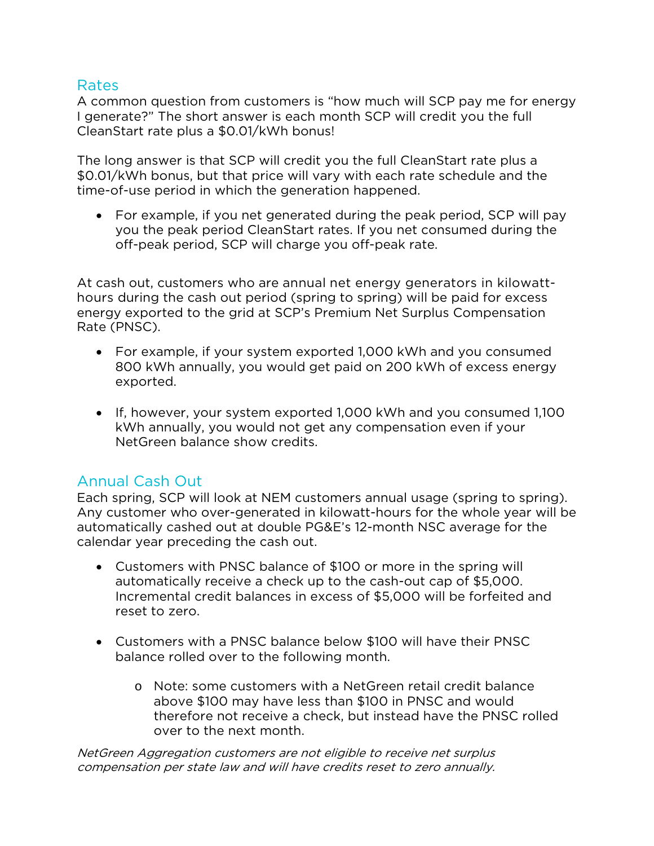#### Rates

A common question from customers is "how much will SCP pay me for energy I generate?" The short answer is each month SCP will credit you the full CleanStart rate plus a \$0.01/kWh bonus!

The long answer is that SCP will credit you the full CleanStart rate plus a \$0.01/kWh bonus, but that price will vary with each rate schedule and the time-of-use period in which the generation happened.

• For example, if you net generated during the peak period, SCP will pay you the peak period CleanStart rates. If you net consumed during the off-peak period, SCP will charge you off-peak rate.

At cash out, customers who are annual net energy generators in kilowatthours during the cash out period (spring to spring) will be paid for excess energy exported to the grid at SCP's Premium Net Surplus Compensation Rate (PNSC).

- For example, if your system exported 1,000 kWh and you consumed 800 kWh annually, you would get paid on 200 kWh of excess energy exported.
- If, however, your system exported 1,000 kWh and you consumed 1,100 kWh annually, you would not get any compensation even if your NetGreen balance show credits.

#### Annual Cash Out

Each spring, SCP will look at NEM customers annual usage (spring to spring). Any customer who over-generated in kilowatt-hours for the whole year will be automatically cashed out at double PG&E's 12-month NSC average for the calendar year preceding the cash out.

- Customers with PNSC balance of \$100 or more in the spring will automatically receive a check up to the cash-out cap of \$5,000. Incremental credit balances in excess of \$5,000 will be forfeited and reset to zero.
- Customers with a PNSC balance below \$100 will have their PNSC balance rolled over to the following month.
	- o Note: some customers with a NetGreen retail credit balance above \$100 may have less than \$100 in PNSC and would therefore not receive a check, but instead have the PNSC rolled over to the next month.

NetGreen Aggregation customers are not eligible to receive net surplus compensation per state law and will have credits reset to zero annually.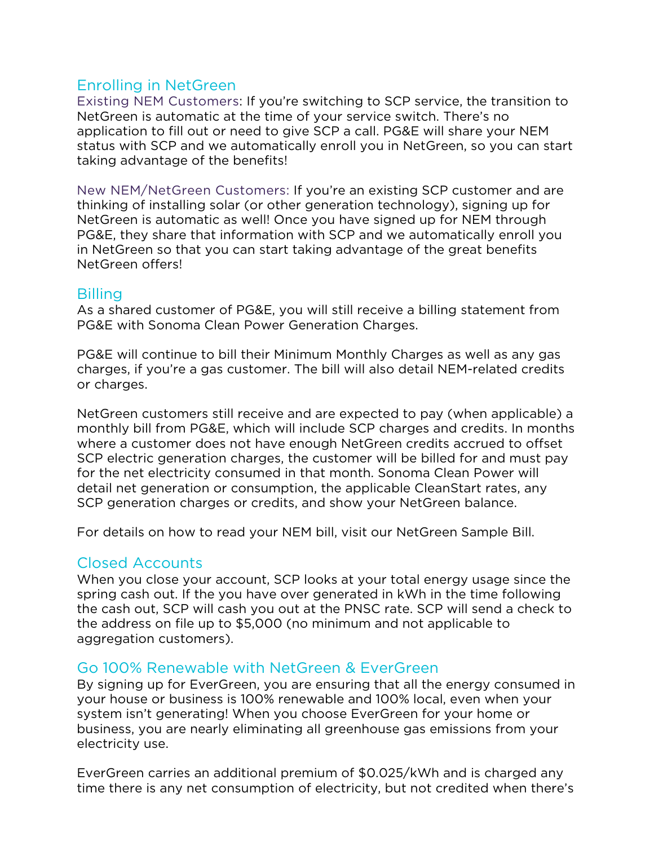### Enrolling in NetGreen

Existing NEM Customers: If you're switching to SCP service, the transition to NetGreen is automatic at the time of your service switch. There's no application to fill out or need to give SCP a call. PG&E will share your NEM status with SCP and we automatically enroll you in NetGreen, so you can start taking advantage of the benefits!

New NEM/NetGreen Customers: If you're an existing SCP customer and are thinking of installing solar (or other generation technology), signing up for NetGreen is automatic as well! Once you have signed up for NEM through PG&E, they share that information with SCP and we automatically enroll you in NetGreen so that you can start taking advantage of the great benefits NetGreen offers!

#### Billing

As a shared customer of PG&E, you will still receive a billing statement from PG&E with Sonoma Clean Power Generation Charges.

PG&E will continue to bill their Minimum Monthly Charges as well as any gas charges, if you're a gas customer. The bill will also detail NEM-related credits or charges.

NetGreen customers still receive and are expected to pay (when applicable) a monthly bill from PG&E, which will include SCP charges and credits. In months where a customer does not have enough NetGreen credits accrued to offset SCP electric generation charges, the customer will be billed for and must pay for the net electricity consumed in that month. Sonoma Clean Power will detail net generation or consumption, the applicable CleanStart rates, any SCP generation charges or credits, and show your NetGreen balance.

For details on how to read your NEM bill, visit our NetGreen Sample Bill.

#### Closed Accounts

When you close your account, SCP looks at your total energy usage since the spring cash out. If the you have over generated in kWh in the time following the cash out, SCP will cash you out at the PNSC rate. SCP will send a check to the address on file up to \$5,000 (no minimum and not applicable to aggregation customers).

#### Go 100% Renewable with NetGreen & EverGreen

By signing up for EverGreen, you are ensuring that all the energy consumed in your house or business is 100% renewable and 100% local, even when your system isn't generating! When you choose EverGreen for your home or business, you are nearly eliminating all greenhouse gas emissions from your electricity use.

EverGreen carries an additional premium of \$0.025/kWh and is charged any time there is any net consumption of electricity, but not credited when there's